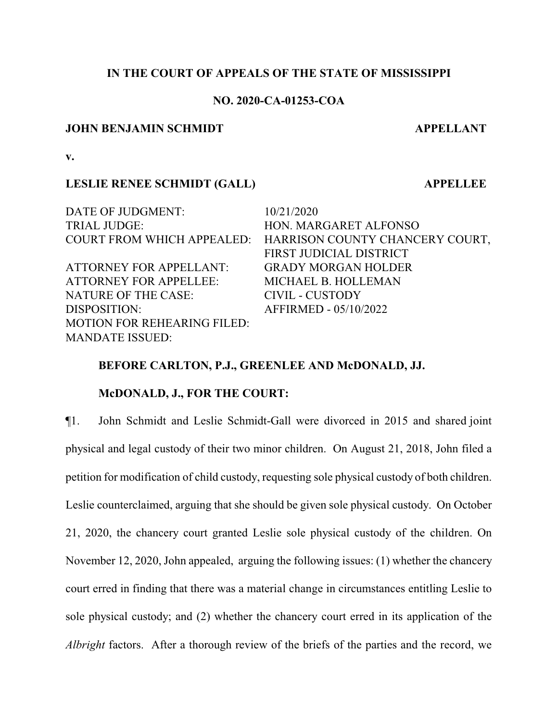### **IN THE COURT OF APPEALS OF THE STATE OF MISSISSIPPI**

# **NO. 2020-CA-01253-COA**

#### **JOHN BENJAMIN SCHMIDT APPELLANT**

**v.**

#### **LESLIE RENEE SCHMIDT (GALL) APPELLEE**

DATE OF JUDGMENT:  $10/21/2020$ TRIAL JUDGE: HON. MARGARET ALFONSO

ATTORNEY FOR APPELLANT: GRADY MORGAN HOLDER ATTORNEY FOR APPELLEE: MICHAEL B. HOLLEMAN NATURE OF THE CASE: CIVIL - CUSTODY DISPOSITION: AFFIRMED - 05/10/2022 MOTION FOR REHEARING FILED: MANDATE ISSUED:

COURT FROM WHICH APPEALED: HARRISON COUNTY CHANCERY COURT, FIRST JUDICIAL DISTRICT

### **BEFORE CARLTON, P.J., GREENLEE AND McDONALD, JJ.**

#### **McDONALD, J., FOR THE COURT:**

¶1. John Schmidt and Leslie Schmidt-Gall were divorced in 2015 and shared joint physical and legal custody of their two minor children. On August 21, 2018, John filed a petition for modification of child custody, requesting sole physical custody of both children. Leslie counterclaimed, arguing that she should be given sole physical custody. On October 21, 2020, the chancery court granted Leslie sole physical custody of the children. On November 12, 2020, John appealed, arguing the following issues: (1) whether the chancery court erred in finding that there was a material change in circumstances entitling Leslie to sole physical custody; and (2) whether the chancery court erred in its application of the *Albright* factors. After a thorough review of the briefs of the parties and the record, we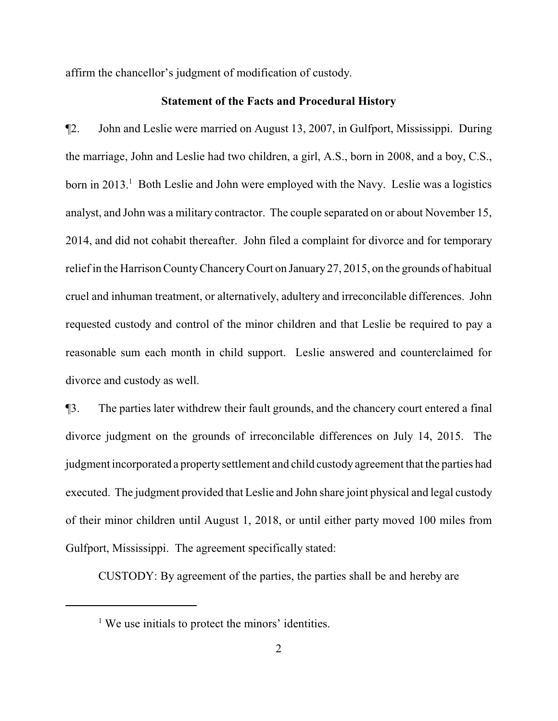affirm the chancellor's judgment of modification of custody.

#### **Statement of the Facts and Procedural History**

¶2. John and Leslie were married on August 13, 2007, in Gulfport, Mississippi. During the marriage, John and Leslie had two children, a girl, A.S., born in 2008, and a boy, C.S., born in 2013.<sup>1</sup> Both Leslie and John were employed with the Navy. Leslie was a logistics analyst, and John was a military contractor. The couple separated on or about November 15, 2014, and did not cohabit thereafter. John filed a complaint for divorce and for temporary relief in the Harrison CountyChanceryCourt on January 27, 2015, on the grounds of habitual cruel and inhuman treatment, or alternatively, adultery and irreconcilable differences. John requested custody and control of the minor children and that Leslie be required to pay a reasonable sum each month in child support. Leslie answered and counterclaimed for divorce and custody as well.

¶3. The parties later withdrew their fault grounds, and the chancery court entered a final divorce judgment on the grounds of irreconcilable differences on July 14, 2015. The judgment incorporated a propertysettlement and child custody agreement that the parties had executed. The judgment provided that Leslie and John share joint physical and legal custody of their minor children until August 1, 2018, or until either party moved 100 miles from Gulfport, Mississippi. The agreement specifically stated:

CUSTODY: By agreement of the parties, the parties shall be and hereby are

<sup>&</sup>lt;sup>1</sup> We use initials to protect the minors' identities.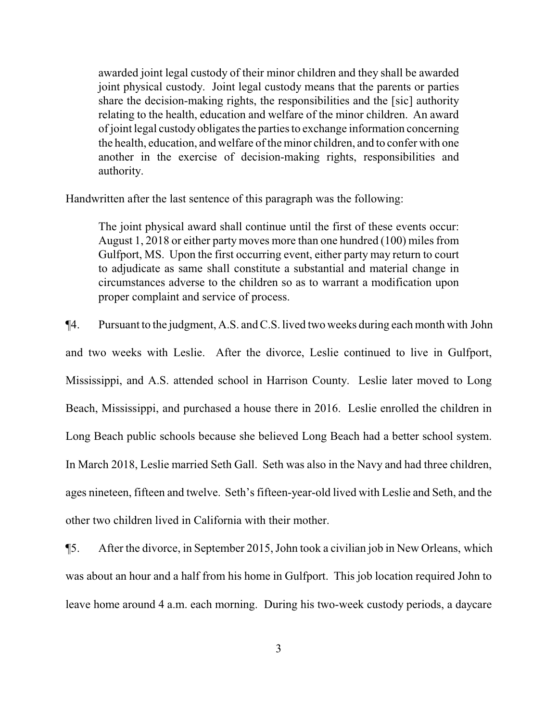awarded joint legal custody of their minor children and they shall be awarded joint physical custody. Joint legal custody means that the parents or parties share the decision-making rights, the responsibilities and the [sic] authority relating to the health, education and welfare of the minor children. An award of joint legal custody obligates the parties to exchange information concerning the health, education, and welfare of the minor children, and to confer with one another in the exercise of decision-making rights, responsibilities and authority.

Handwritten after the last sentence of this paragraph was the following:

The joint physical award shall continue until the first of these events occur: August 1, 2018 or either party moves more than one hundred (100) miles from Gulfport, MS. Upon the first occurring event, either party may return to court to adjudicate as same shall constitute a substantial and material change in circumstances adverse to the children so as to warrant a modification upon proper complaint and service of process.

¶4. Pursuant to the judgment, A.S. and C.S. lived two weeks during each month with John and two weeks with Leslie. After the divorce, Leslie continued to live in Gulfport, Mississippi, and A.S. attended school in Harrison County. Leslie later moved to Long Beach, Mississippi, and purchased a house there in 2016. Leslie enrolled the children in Long Beach public schools because she believed Long Beach had a better school system. In March 2018, Leslie married Seth Gall. Seth was also in the Navy and had three children, ages nineteen, fifteen and twelve. Seth's fifteen-year-old lived with Leslie and Seth, and the other two children lived in California with their mother.

¶5. After the divorce, in September 2015, John took a civilian job in New Orleans, which was about an hour and a half from his home in Gulfport. This job location required John to leave home around 4 a.m. each morning. During his two-week custody periods, a daycare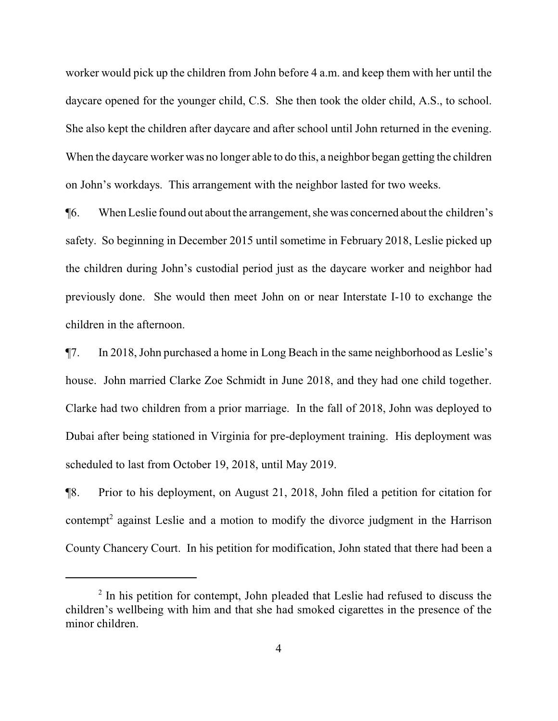worker would pick up the children from John before 4 a.m. and keep them with her until the daycare opened for the younger child, C.S. She then took the older child, A.S., to school. She also kept the children after daycare and after school until John returned in the evening. When the daycare worker was no longer able to do this, a neighbor began getting the children on John's workdays. This arrangement with the neighbor lasted for two weeks.

¶6. When Leslie found out about the arrangement, she was concerned about the children's safety. So beginning in December 2015 until sometime in February 2018, Leslie picked up the children during John's custodial period just as the daycare worker and neighbor had previously done. She would then meet John on or near Interstate I-10 to exchange the children in the afternoon.

¶7. In 2018, John purchased a home in Long Beach in the same neighborhood as Leslie's house. John married Clarke Zoe Schmidt in June 2018, and they had one child together. Clarke had two children from a prior marriage. In the fall of 2018, John was deployed to Dubai after being stationed in Virginia for pre-deployment training. His deployment was scheduled to last from October 19, 2018, until May 2019.

¶8. Prior to his deployment, on August 21, 2018, John filed a petition for citation for contempt<sup>2</sup> against Leslie and a motion to modify the divorce judgment in the Harrison County Chancery Court. In his petition for modification, John stated that there had been a

<sup>&</sup>lt;sup>2</sup> In his petition for contempt, John pleaded that Leslie had refused to discuss the children's wellbeing with him and that she had smoked cigarettes in the presence of the minor children.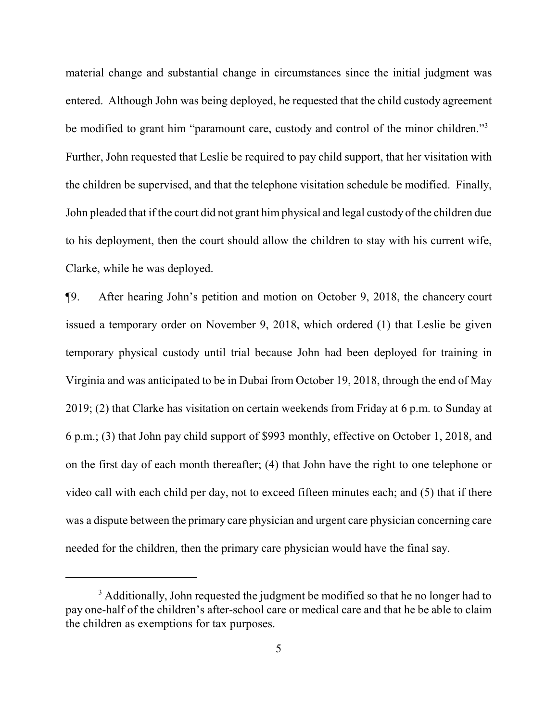material change and substantial change in circumstances since the initial judgment was entered. Although John was being deployed, he requested that the child custody agreement be modified to grant him "paramount care, custody and control of the minor children."<sup>3</sup> Further, John requested that Leslie be required to pay child support, that her visitation with the children be supervised, and that the telephone visitation schedule be modified. Finally, John pleaded that if the court did not grant him physical and legal custody of the children due to his deployment, then the court should allow the children to stay with his current wife, Clarke, while he was deployed.

¶9. After hearing John's petition and motion on October 9, 2018, the chancery court issued a temporary order on November 9, 2018, which ordered (1) that Leslie be given temporary physical custody until trial because John had been deployed for training in Virginia and was anticipated to be in Dubai from October 19, 2018, through the end of May 2019; (2) that Clarke has visitation on certain weekends from Friday at 6 p.m. to Sunday at 6 p.m.; (3) that John pay child support of \$993 monthly, effective on October 1, 2018, and on the first day of each month thereafter; (4) that John have the right to one telephone or video call with each child per day, not to exceed fifteen minutes each; and (5) that if there was a dispute between the primary care physician and urgent care physician concerning care needed for the children, then the primary care physician would have the final say.

<sup>&</sup>lt;sup>3</sup> Additionally, John requested the judgment be modified so that he no longer had to pay one-half of the children's after-school care or medical care and that he be able to claim the children as exemptions for tax purposes.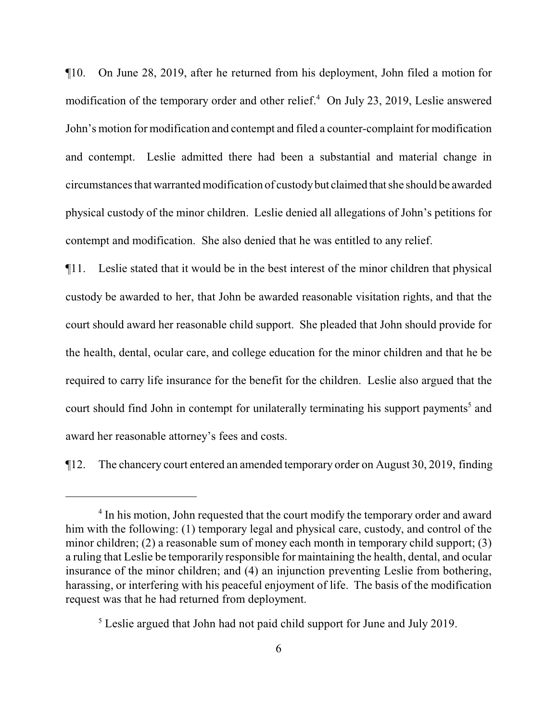¶10. On June 28, 2019, after he returned from his deployment, John filed a motion for modification of the temporary order and other relief. <sup>4</sup> On July 23, 2019, Leslie answered John's motion for modification and contempt and filed a counter-complaint for modification and contempt. Leslie admitted there had been a substantial and material change in circumstances that warranted modification of custodybut claimed that she should be awarded physical custody of the minor children. Leslie denied all allegations of John's petitions for contempt and modification. She also denied that he was entitled to any relief.

¶11. Leslie stated that it would be in the best interest of the minor children that physical custody be awarded to her, that John be awarded reasonable visitation rights, and that the court should award her reasonable child support. She pleaded that John should provide for the health, dental, ocular care, and college education for the minor children and that he be required to carry life insurance for the benefit for the children. Leslie also argued that the court should find John in contempt for unilaterally terminating his support payments<sup>5</sup> and award her reasonable attorney's fees and costs.

¶12. The chancery court entered an amended temporary order on August 30, 2019, finding

<sup>&</sup>lt;sup>4</sup> In his motion, John requested that the court modify the temporary order and award him with the following: (1) temporary legal and physical care, custody, and control of the minor children; (2) a reasonable sum of money each month in temporary child support; (3) a ruling that Leslie be temporarily responsible for maintaining the health, dental, and ocular insurance of the minor children; and (4) an injunction preventing Leslie from bothering, harassing, or interfering with his peaceful enjoyment of life. The basis of the modification request was that he had returned from deployment.

<sup>&</sup>lt;sup>5</sup> Leslie argued that John had not paid child support for June and July 2019.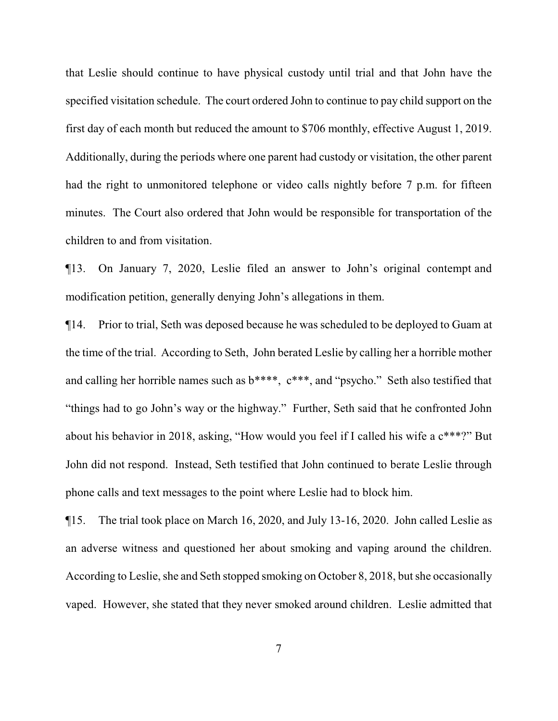that Leslie should continue to have physical custody until trial and that John have the specified visitation schedule. The court ordered John to continue to pay child support on the first day of each month but reduced the amount to \$706 monthly, effective August 1, 2019. Additionally, during the periods where one parent had custody or visitation, the other parent had the right to unmonitored telephone or video calls nightly before 7 p.m. for fifteen minutes. The Court also ordered that John would be responsible for transportation of the children to and from visitation.

¶13. On January 7, 2020, Leslie filed an answer to John's original contempt and modification petition, generally denying John's allegations in them.

¶14. Prior to trial, Seth was deposed because he was scheduled to be deployed to Guam at the time of the trial. According to Seth, John berated Leslie by calling her a horrible mother and calling her horrible names such as b\*\*\*\*, c\*\*\*, and "psycho." Seth also testified that "things had to go John's way or the highway." Further, Seth said that he confronted John about his behavior in 2018, asking, "How would you feel if I called his wife a c\*\*\*?" But John did not respond. Instead, Seth testified that John continued to berate Leslie through phone calls and text messages to the point where Leslie had to block him.

¶15. The trial took place on March 16, 2020, and July 13-16, 2020. John called Leslie as an adverse witness and questioned her about smoking and vaping around the children. According to Leslie, she and Seth stopped smoking on October 8, 2018, but she occasionally vaped. However, she stated that they never smoked around children. Leslie admitted that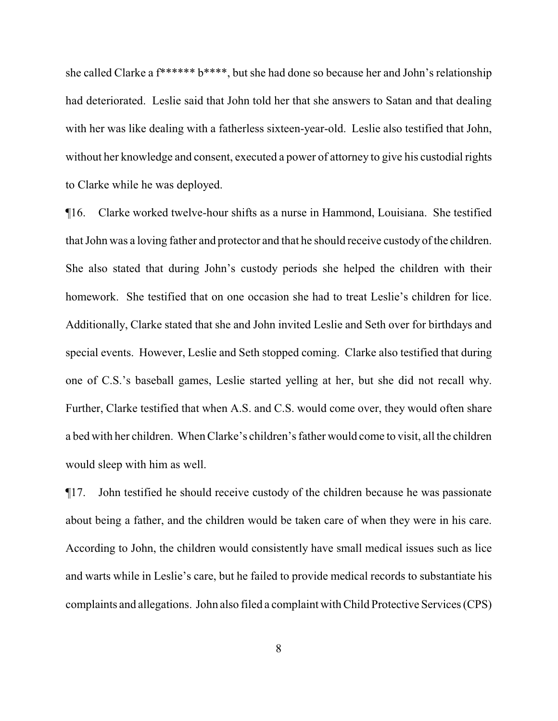she called Clarke a f\*\*\*\*\*\* b\*\*\*\*, but she had done so because her and John's relationship had deteriorated. Leslie said that John told her that she answers to Satan and that dealing with her was like dealing with a fatherless sixteen-year-old. Leslie also testified that John, without her knowledge and consent, executed a power of attorney to give his custodial rights to Clarke while he was deployed.

¶16. Clarke worked twelve-hour shifts as a nurse in Hammond, Louisiana. She testified that John was a loving father and protector and that he should receive custody of the children. She also stated that during John's custody periods she helped the children with their homework. She testified that on one occasion she had to treat Leslie's children for lice. Additionally, Clarke stated that she and John invited Leslie and Seth over for birthdays and special events. However, Leslie and Seth stopped coming. Clarke also testified that during one of C.S.'s baseball games, Leslie started yelling at her, but she did not recall why. Further, Clarke testified that when A.S. and C.S. would come over, they would often share a bed with her children. When Clarke's children's father would come to visit, all the children would sleep with him as well.

¶17. John testified he should receive custody of the children because he was passionate about being a father, and the children would be taken care of when they were in his care. According to John, the children would consistently have small medical issues such as lice and warts while in Leslie's care, but he failed to provide medical records to substantiate his complaints and allegations. John also filed a complaint with Child Protective Services (CPS)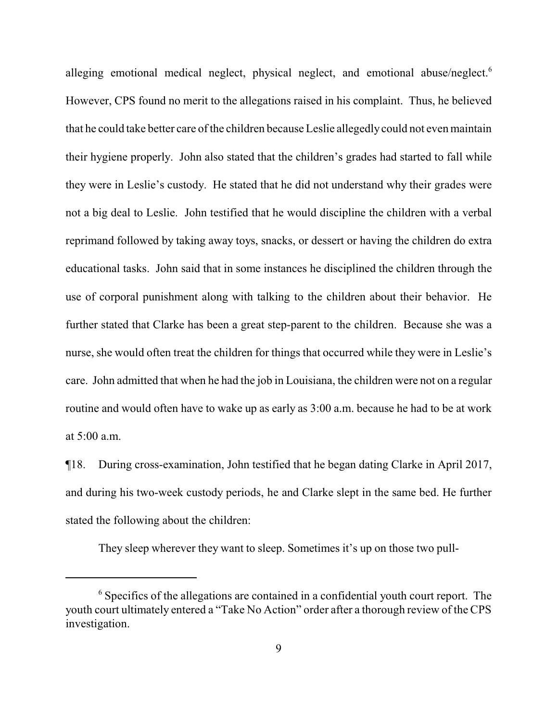alleging emotional medical neglect, physical neglect, and emotional abuse/neglect.<sup>6</sup> However, CPS found no merit to the allegations raised in his complaint. Thus, he believed that he could take better care of the children because Leslie allegedly could not even maintain their hygiene properly. John also stated that the children's grades had started to fall while they were in Leslie's custody. He stated that he did not understand why their grades were not a big deal to Leslie. John testified that he would discipline the children with a verbal reprimand followed by taking away toys, snacks, or dessert or having the children do extra educational tasks. John said that in some instances he disciplined the children through the use of corporal punishment along with talking to the children about their behavior. He further stated that Clarke has been a great step-parent to the children. Because she was a nurse, she would often treat the children for things that occurred while they were in Leslie's care. John admitted that when he had the job in Louisiana, the children were not on a regular routine and would often have to wake up as early as 3:00 a.m. because he had to be at work at 5:00 a.m.

¶18. During cross-examination, John testified that he began dating Clarke in April 2017, and during his two-week custody periods, he and Clarke slept in the same bed. He further stated the following about the children:

They sleep wherever they want to sleep. Sometimes it's up on those two pull-

<sup>&</sup>lt;sup>6</sup> Specifics of the allegations are contained in a confidential youth court report. The youth court ultimately entered a "Take No Action" order after a thorough review of the CPS investigation.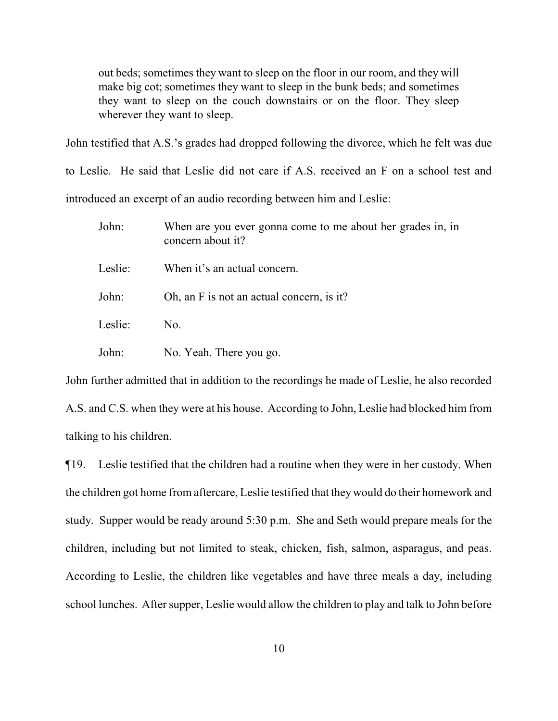out beds; sometimes they want to sleep on the floor in our room, and they will make big cot; sometimes they want to sleep in the bunk beds; and sometimes they want to sleep on the couch downstairs or on the floor. They sleep wherever they want to sleep.

John testified that A.S.'s grades had dropped following the divorce, which he felt was due to Leslie. He said that Leslie did not care if A.S. received an F on a school test and introduced an excerpt of an audio recording between him and Leslie:

John: When are you ever gonna come to me about her grades in, in concern about it? Leslie: When it's an actual concern. John: Oh, an F is not an actual concern, is it? Leslie: No. John: No. Yeah. There you go.

John further admitted that in addition to the recordings he made of Leslie, he also recorded A.S. and C.S. when they were at his house. According to John, Leslie had blocked him from talking to his children.

¶19. Leslie testified that the children had a routine when they were in her custody. When the children got home from aftercare, Leslie testified that they would do their homework and study. Supper would be ready around 5:30 p.m. She and Seth would prepare meals for the children, including but not limited to steak, chicken, fish, salmon, asparagus, and peas. According to Leslie, the children like vegetables and have three meals a day, including school lunches. After supper, Leslie would allow the children to play and talk to John before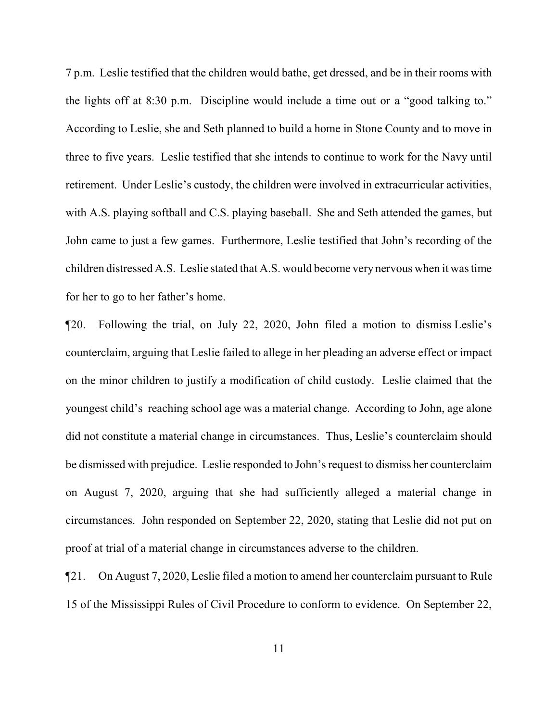7 p.m. Leslie testified that the children would bathe, get dressed, and be in their rooms with the lights off at 8:30 p.m. Discipline would include a time out or a "good talking to." According to Leslie, she and Seth planned to build a home in Stone County and to move in three to five years. Leslie testified that she intends to continue to work for the Navy until retirement. Under Leslie's custody, the children were involved in extracurricular activities, with A.S. playing softball and C.S. playing baseball. She and Seth attended the games, but John came to just a few games. Furthermore, Leslie testified that John's recording of the children distressed A.S. Leslie stated that A.S. would become very nervous when it was time for her to go to her father's home.

¶20. Following the trial, on July 22, 2020, John filed a motion to dismiss Leslie's counterclaim, arguing that Leslie failed to allege in her pleading an adverse effect or impact on the minor children to justify a modification of child custody. Leslie claimed that the youngest child's reaching school age was a material change. According to John, age alone did not constitute a material change in circumstances. Thus, Leslie's counterclaim should be dismissed with prejudice. Leslie responded to John's request to dismiss her counterclaim on August 7, 2020, arguing that she had sufficiently alleged a material change in circumstances. John responded on September 22, 2020, stating that Leslie did not put on proof at trial of a material change in circumstances adverse to the children.

¶21. On August 7, 2020, Leslie filed a motion to amend her counterclaim pursuant to Rule 15 of the Mississippi Rules of Civil Procedure to conform to evidence. On September 22,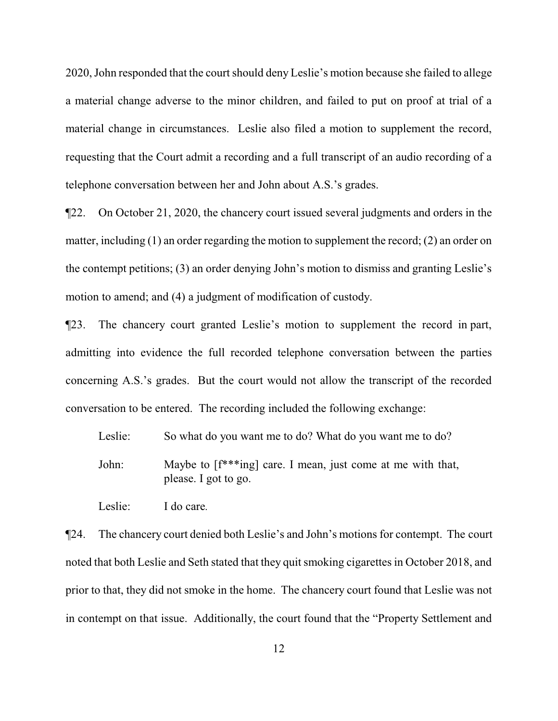2020, John responded that the court should deny Leslie's motion because she failed to allege a material change adverse to the minor children, and failed to put on proof at trial of a material change in circumstances. Leslie also filed a motion to supplement the record, requesting that the Court admit a recording and a full transcript of an audio recording of a telephone conversation between her and John about A.S.'s grades.

¶22. On October 21, 2020, the chancery court issued several judgments and orders in the matter, including (1) an order regarding the motion to supplement the record; (2) an order on the contempt petitions; (3) an order denying John's motion to dismiss and granting Leslie's motion to amend; and (4) a judgment of modification of custody.

¶23. The chancery court granted Leslie's motion to supplement the record in part, admitting into evidence the full recorded telephone conversation between the parties concerning A.S.'s grades. But the court would not allow the transcript of the recorded conversation to be entered. The recording included the following exchange:

Leslie: So what do you want me to do? What do you want me to do? John: Maybe to [f\*\*\*ing] care. I mean, just come at me with that, please. I got to go.

Leslie: I do care*.*

¶24. The chancery court denied both Leslie's and John's motions for contempt. The court noted that both Leslie and Seth stated that they quit smoking cigarettes in October 2018, and prior to that, they did not smoke in the home. The chancery court found that Leslie was not in contempt on that issue. Additionally, the court found that the "Property Settlement and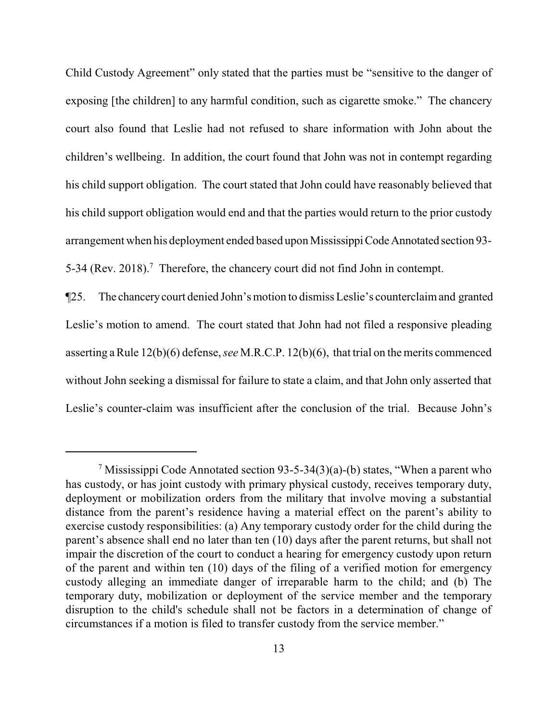Child Custody Agreement" only stated that the parties must be "sensitive to the danger of exposing [the children] to any harmful condition, such as cigarette smoke." The chancery court also found that Leslie had not refused to share information with John about the children's wellbeing. In addition, the court found that John was not in contempt regarding his child support obligation. The court stated that John could have reasonably believed that his child support obligation would end and that the parties would return to the prior custody arrangement when his deployment ended based upon Mississippi Code Annotated section 93-5-34 (Rev. 2018).<sup>7</sup> Therefore, the chancery court did not find John in contempt.

¶25. The chancerycourt denied John's motion to dismiss Leslie's counterclaimand granted Leslie's motion to amend. The court stated that John had not filed a responsive pleading asserting aRule 12(b)(6) defense,*see* M.R.C.P. 12(b)(6), that trial on the merits commenced without John seeking a dismissal for failure to state a claim, and that John only asserted that Leslie's counter-claim was insufficient after the conclusion of the trial. Because John's

<sup>&</sup>lt;sup>7</sup> Mississippi Code Annotated section 93-5-34(3)(a)-(b) states, "When a parent who has custody, or has joint custody with primary physical custody, receives temporary duty, deployment or mobilization orders from the military that involve moving a substantial distance from the parent's residence having a material effect on the parent's ability to exercise custody responsibilities: (a) Any temporary custody order for the child during the parent's absence shall end no later than ten (10) days after the parent returns, but shall not impair the discretion of the court to conduct a hearing for emergency custody upon return of the parent and within ten (10) days of the filing of a verified motion for emergency custody alleging an immediate danger of irreparable harm to the child; and (b) The temporary duty, mobilization or deployment of the service member and the temporary disruption to the child's schedule shall not be factors in a determination of change of circumstances if a motion is filed to transfer custody from the service member."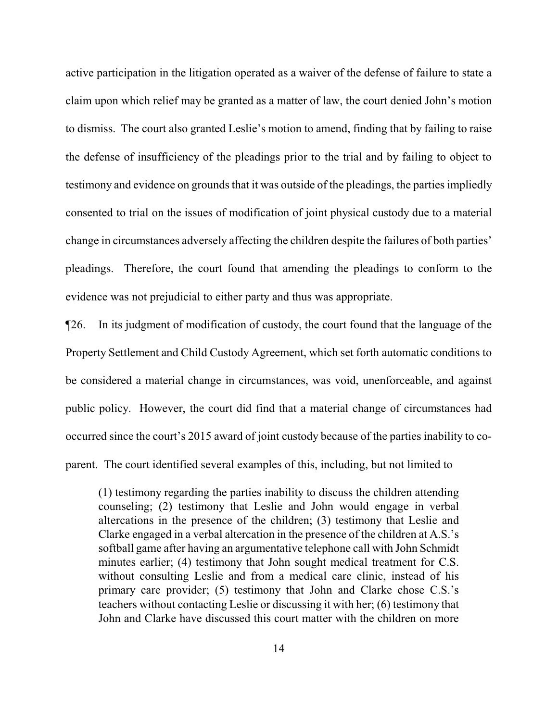active participation in the litigation operated as a waiver of the defense of failure to state a claim upon which relief may be granted as a matter of law, the court denied John's motion to dismiss. The court also granted Leslie's motion to amend, finding that by failing to raise the defense of insufficiency of the pleadings prior to the trial and by failing to object to testimony and evidence on grounds that it was outside of the pleadings, the parties impliedly consented to trial on the issues of modification of joint physical custody due to a material change in circumstances adversely affecting the children despite the failures of both parties' pleadings. Therefore, the court found that amending the pleadings to conform to the evidence was not prejudicial to either party and thus was appropriate.

¶26. In its judgment of modification of custody, the court found that the language of the Property Settlement and Child Custody Agreement, which set forth automatic conditions to be considered a material change in circumstances, was void, unenforceable, and against public policy. However, the court did find that a material change of circumstances had occurred since the court's 2015 award of joint custody because of the parties inability to coparent. The court identified several examples of this, including, but not limited to

(1) testimony regarding the parties inability to discuss the children attending counseling; (2) testimony that Leslie and John would engage in verbal altercations in the presence of the children; (3) testimony that Leslie and Clarke engaged in a verbal altercation in the presence of the children at A.S.'s softball game after having an argumentative telephone call with John Schmidt minutes earlier; (4) testimony that John sought medical treatment for C.S. without consulting Leslie and from a medical care clinic, instead of his primary care provider; (5) testimony that John and Clarke chose C.S.'s teachers without contacting Leslie or discussing it with her; (6) testimony that John and Clarke have discussed this court matter with the children on more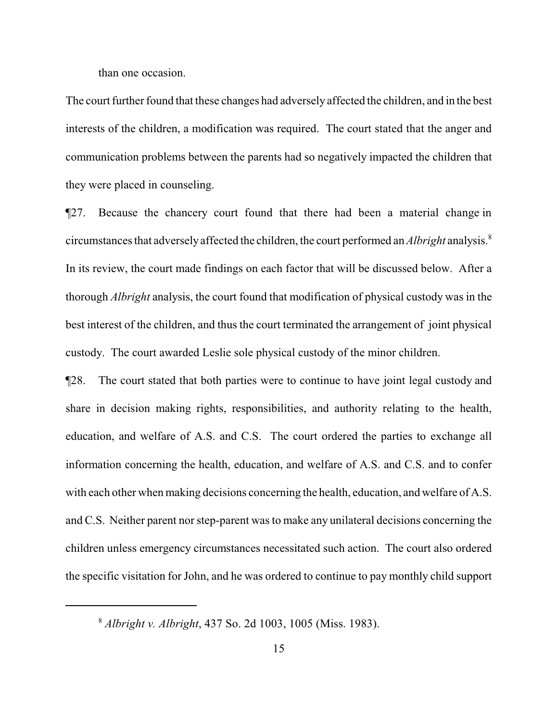than one occasion.

The court further found that these changes had adversely affected the children, and in the best interests of the children, a modification was required. The court stated that the anger and communication problems between the parents had so negatively impacted the children that they were placed in counseling.

¶27. Because the chancery court found that there had been a material change in circumstances that adverselyaffected the children, the court performed an *Albright* analysis.<sup>8</sup> In its review, the court made findings on each factor that will be discussed below. After a thorough *Albright* analysis, the court found that modification of physical custody was in the best interest of the children, and thus the court terminated the arrangement of joint physical custody. The court awarded Leslie sole physical custody of the minor children.

¶28. The court stated that both parties were to continue to have joint legal custody and share in decision making rights, responsibilities, and authority relating to the health, education, and welfare of A.S. and C.S. The court ordered the parties to exchange all information concerning the health, education, and welfare of A.S. and C.S. and to confer with each other when making decisions concerning the health, education, and welfare of A.S. and C.S. Neither parent nor step-parent was to make any unilateral decisions concerning the children unless emergency circumstances necessitated such action. The court also ordered the specific visitation for John, and he was ordered to continue to pay monthly child support

<sup>8</sup>  *Albright v. Albright*, 437 So. 2d 1003, 1005 (Miss. 1983).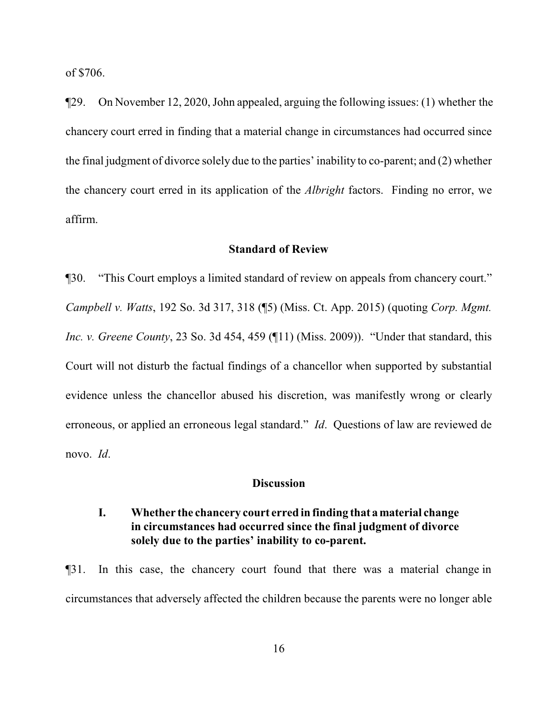of \$706.

¶29. On November 12, 2020, John appealed, arguing the following issues: (1) whether the chancery court erred in finding that a material change in circumstances had occurred since the final judgment of divorce solely due to the parties' inability to co-parent; and (2) whether the chancery court erred in its application of the *Albright* factors. Finding no error, we affirm.

#### **Standard of Review**

¶30. "This Court employs a limited standard of review on appeals from chancery court." *Campbell v. Watts*, 192 So. 3d 317, 318 (¶5) (Miss. Ct. App. 2015) (quoting *Corp. Mgmt. Inc. v. Greene County*, 23 So. 3d 454, 459 (¶11) (Miss. 2009)). "Under that standard, this Court will not disturb the factual findings of a chancellor when supported by substantial evidence unless the chancellor abused his discretion, was manifestly wrong or clearly erroneous, or applied an erroneous legal standard." *Id*. Questions of law are reviewed de novo. *Id*.

#### **Discussion**

# **I. Whether the chancery court erred in finding that amaterial change in circumstances had occurred since the final judgment of divorce solely due to the parties' inability to co-parent.**

¶31. In this case, the chancery court found that there was a material change in circumstances that adversely affected the children because the parents were no longer able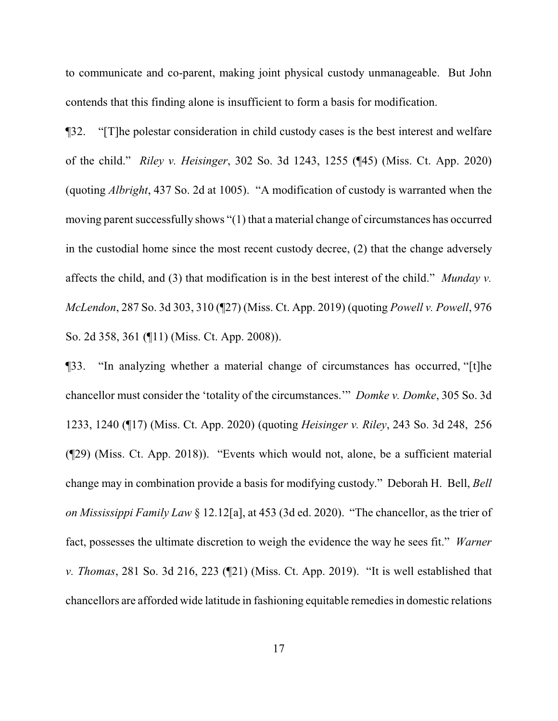to communicate and co-parent, making joint physical custody unmanageable. But John contends that this finding alone is insufficient to form a basis for modification.

¶32. "[T]he polestar consideration in child custody cases is the best interest and welfare of the child." *Riley v. Heisinger*, 302 So. 3d 1243, 1255 (¶45) (Miss. Ct. App. 2020) (quoting *Albright*, 437 So. 2d at 1005). "A modification of custody is warranted when the moving parent successfully shows "(1) that a material change of circumstances has occurred in the custodial home since the most recent custody decree, (2) that the change adversely affects the child, and (3) that modification is in the best interest of the child." *Munday v. McLendon*, 287 So. 3d 303, 310 (¶27) (Miss. Ct. App. 2019) (quoting *Powell v. Powell*, 976 So. 2d 358, 361 (¶11) (Miss. Ct. App. 2008)).

¶33. "In analyzing whether a material change of circumstances has occurred, "[t]he chancellor must consider the 'totality of the circumstances.'" *Domke v. Domke*, 305 So. 3d 1233, 1240 (¶17) (Miss. Ct. App. 2020) (quoting *Heisinger v. Riley*, 243 So. 3d 248, 256 (¶29) (Miss. Ct. App. 2018)). "Events which would not, alone, be a sufficient material change may in combination provide a basis for modifying custody." Deborah H. Bell, *Bell on Mississippi Family Law* § 12.12[a], at 453 (3d ed. 2020). "The chancellor, as the trier of fact, possesses the ultimate discretion to weigh the evidence the way he sees fit." *Warner v. Thomas*, 281 So. 3d 216, 223 (¶21) (Miss. Ct. App. 2019). "It is well established that chancellors are afforded wide latitude in fashioning equitable remedies in domestic relations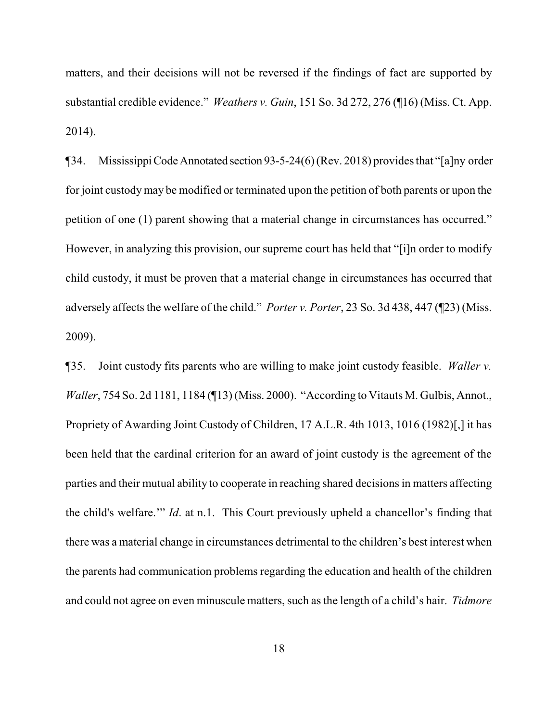matters, and their decisions will not be reversed if the findings of fact are supported by substantial credible evidence." *Weathers v. Guin*, 151 So. 3d 272, 276 (¶16) (Miss. Ct. App. 2014).

¶34. MississippiCodeAnnotated section 93-5-24(6) (Rev. 2018) provides that "[a]ny order for joint custodymay be modified or terminated upon the petition of both parents or upon the petition of one (1) parent showing that a material change in circumstances has occurred." However, in analyzing this provision, our supreme court has held that "[i]n order to modify child custody, it must be proven that a material change in circumstances has occurred that adversely affects the welfare of the child." *Porter v. Porter*, 23 So. 3d 438, 447 (¶23) (Miss. 2009).

¶35. Joint custody fits parents who are willing to make joint custody feasible. *Waller v. Waller*, 754 So. 2d 1181, 1184 (¶13) (Miss. 2000). "According to Vitauts M. Gulbis, Annot., Propriety of Awarding Joint Custody of Children, 17 A.L.R. 4th 1013, 1016 (1982)[,] it has been held that the cardinal criterion for an award of joint custody is the agreement of the parties and their mutual ability to cooperate in reaching shared decisions in matters affecting the child's welfare.'" *Id*. at n.1. This Court previously upheld a chancellor's finding that there was a material change in circumstances detrimental to the children's best interest when the parents had communication problems regarding the education and health of the children and could not agree on even minuscule matters, such as the length of a child's hair. *Tidmore*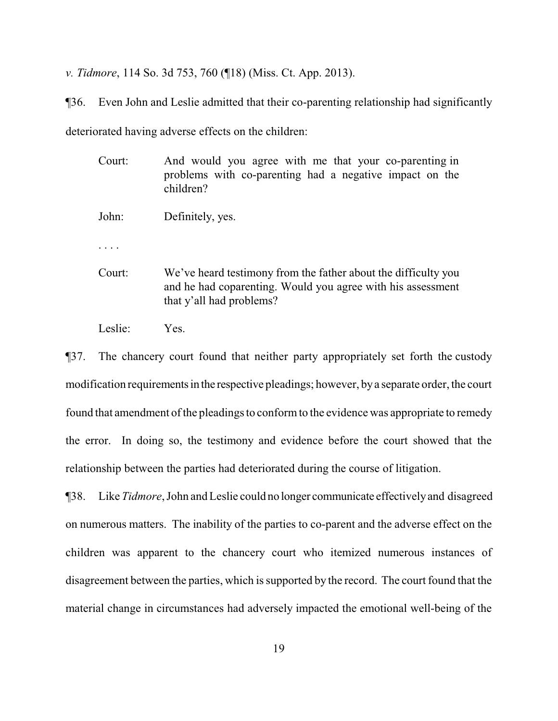*v. Tidmore*, 114 So. 3d 753, 760 (¶18) (Miss. Ct. App. 2013).

¶36. Even John and Leslie admitted that their co-parenting relationship had significantly

deteriorated having adverse effects on the children:

- Court: And would you agree with me that your co-parenting in problems with co-parenting had a negative impact on the children? John: Definitely, yes. . . . . Court: We've heard testimony from the father about the difficulty you and he had coparenting. Would you agree with his assessment that y'all had problems?
- Leslie: Yes.

¶37. The chancery court found that neither party appropriately set forth the custody modification requirements in the respective pleadings; however, by a separate order, the court found that amendment of the pleadings to conform to the evidence was appropriate to remedy the error. In doing so, the testimony and evidence before the court showed that the relationship between the parties had deteriorated during the course of litigation.

¶38. Like *Tidmore*, John and Leslie could no longer communicate effectivelyand disagreed on numerous matters. The inability of the parties to co-parent and the adverse effect on the children was apparent to the chancery court who itemized numerous instances of disagreement between the parties, which is supported by the record. The court found that the material change in circumstances had adversely impacted the emotional well-being of the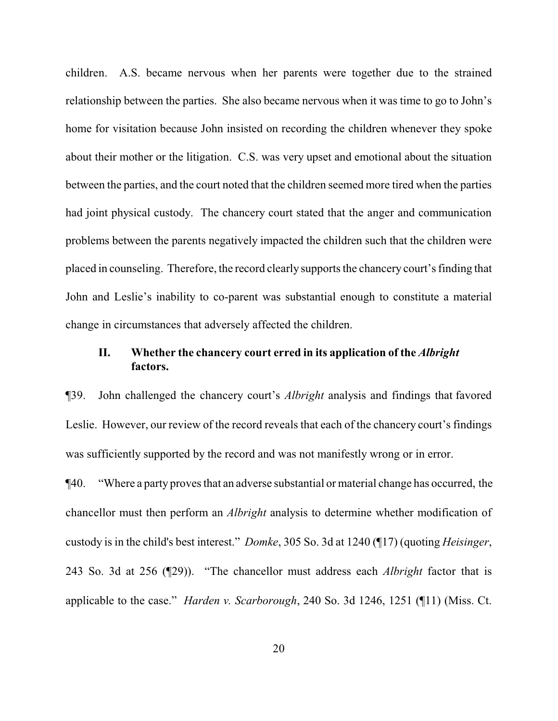children. A.S. became nervous when her parents were together due to the strained relationship between the parties. She also became nervous when it was time to go to John's home for visitation because John insisted on recording the children whenever they spoke about their mother or the litigation. C.S. was very upset and emotional about the situation between the parties, and the court noted that the children seemed more tired when the parties had joint physical custody. The chancery court stated that the anger and communication problems between the parents negatively impacted the children such that the children were placed in counseling. Therefore, the record clearly supports the chancery court's finding that John and Leslie's inability to co-parent was substantial enough to constitute a material change in circumstances that adversely affected the children.

# **II. Whether the chancery court erred in its application of the** *Albright* **factors.**

¶39. John challenged the chancery court's *Albright* analysis and findings that favored Leslie. However, our review of the record reveals that each of the chancery court's findings was sufficiently supported by the record and was not manifestly wrong or in error.

¶40. "Where a party proves that an adverse substantial or material change has occurred, the chancellor must then perform an *Albright* analysis to determine whether modification of custody is in the child's best interest." *Domke*, 305 So. 3d at 1240 (¶17) (quoting *Heisinger*, 243 So. 3d at 256 (¶29)). "The chancellor must address each *Albright* factor that is applicable to the case." *Harden v. Scarborough*, 240 So. 3d 1246, 1251 (¶11) (Miss. Ct.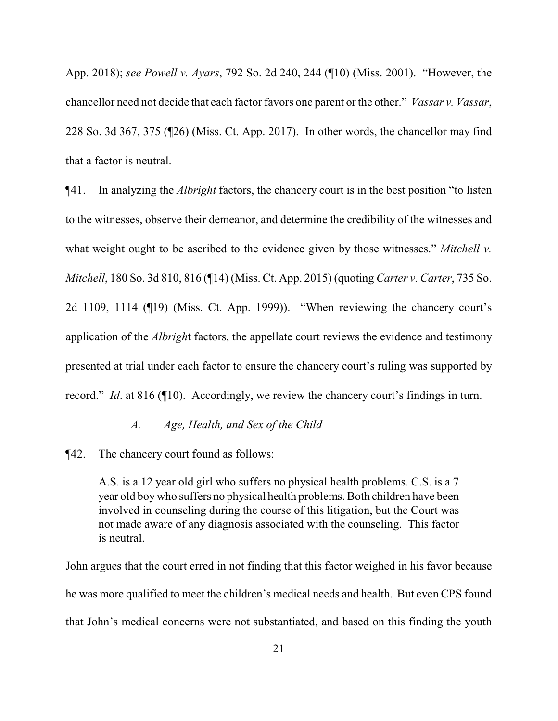App. 2018); *see Powell v. Ayars*, 792 So. 2d 240, 244 (¶10) (Miss. 2001). "However, the chancellor need not decide that each factor favors one parent or the other." *Vassar v. Vassar*, 228 So. 3d 367, 375 (¶26) (Miss. Ct. App. 2017). In other words, the chancellor may find that a factor is neutral.

¶41. In analyzing the *Albright* factors, the chancery court is in the best position "to listen to the witnesses, observe their demeanor, and determine the credibility of the witnesses and what weight ought to be ascribed to the evidence given by those witnesses." *Mitchell v. Mitchell*, 180 So. 3d 810, 816 (¶14) (Miss. Ct. App. 2015) (quoting *Carter v. Carter*, 735 So. 2d 1109, 1114 (¶19) (Miss. Ct. App. 1999)). "When reviewing the chancery court's application of the *Albrigh*t factors, the appellate court reviews the evidence and testimony presented at trial under each factor to ensure the chancery court's ruling was supported by record." *Id*. at 816 (¶10). Accordingly, we review the chancery court's findings in turn.

#### *A. Age, Health, and Sex of the Child*

¶42. The chancery court found as follows:

A.S. is a 12 year old girl who suffers no physical health problems. C.S. is a 7 year old boywho suffers no physical health problems. Both children have been involved in counseling during the course of this litigation, but the Court was not made aware of any diagnosis associated with the counseling. This factor is neutral.

John argues that the court erred in not finding that this factor weighed in his favor because he was more qualified to meet the children's medical needs and health. But even CPS found that John's medical concerns were not substantiated, and based on this finding the youth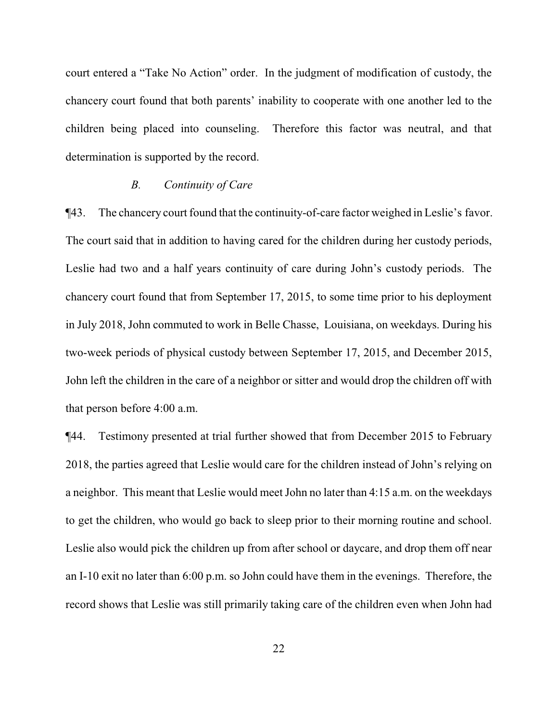court entered a "Take No Action" order. In the judgment of modification of custody, the chancery court found that both parents' inability to cooperate with one another led to the children being placed into counseling. Therefore this factor was neutral, and that determination is supported by the record.

#### *B. Continuity of Care*

¶43. The chancery court found that the continuity-of-care factor weighed in Leslie's favor. The court said that in addition to having cared for the children during her custody periods, Leslie had two and a half years continuity of care during John's custody periods. The chancery court found that from September 17, 2015, to some time prior to his deployment in July 2018, John commuted to work in Belle Chasse, Louisiana, on weekdays. During his two-week periods of physical custody between September 17, 2015, and December 2015, John left the children in the care of a neighbor or sitter and would drop the children off with that person before 4:00 a.m.

¶44. Testimony presented at trial further showed that from December 2015 to February 2018, the parties agreed that Leslie would care for the children instead of John's relying on a neighbor. This meant that Leslie would meet John no later than 4:15 a.m. on the weekdays to get the children, who would go back to sleep prior to their morning routine and school. Leslie also would pick the children up from after school or daycare, and drop them off near an I-10 exit no later than 6:00 p.m. so John could have them in the evenings. Therefore, the record shows that Leslie was still primarily taking care of the children even when John had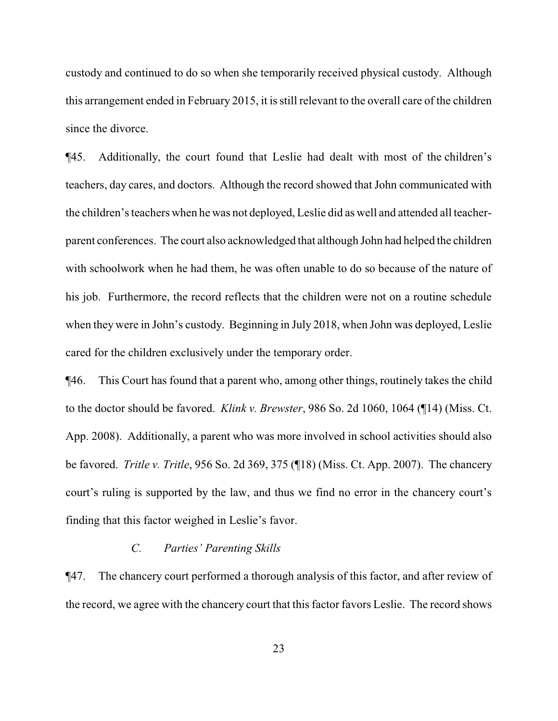custody and continued to do so when she temporarily received physical custody. Although this arrangement ended in February 2015, it is still relevant to the overall care of the children since the divorce.

¶45. Additionally, the court found that Leslie had dealt with most of the children's teachers, day cares, and doctors. Although the record showed that John communicated with the children's teachers when he was not deployed, Leslie did as well and attended all teacherparent conferences. The court also acknowledged that although John had helped the children with schoolwork when he had them, he was often unable to do so because of the nature of his job. Furthermore, the record reflects that the children were not on a routine schedule when they were in John's custody. Beginning in July 2018, when John was deployed, Leslie cared for the children exclusively under the temporary order.

¶46. This Court has found that a parent who, among other things, routinely takes the child to the doctor should be favored. *Klink v. Brewster*, 986 So. 2d 1060, 1064 (¶14) (Miss. Ct. App. 2008). Additionally, a parent who was more involved in school activities should also be favored. *Tritle v. Tritle*, 956 So. 2d 369, 375 (¶18) (Miss. Ct. App. 2007). The chancery court's ruling is supported by the law, and thus we find no error in the chancery court's finding that this factor weighed in Leslie's favor.

#### *C. Parties' Parenting Skills*

¶47. The chancery court performed a thorough analysis of this factor, and after review of the record, we agree with the chancery court that this factor favors Leslie. The record shows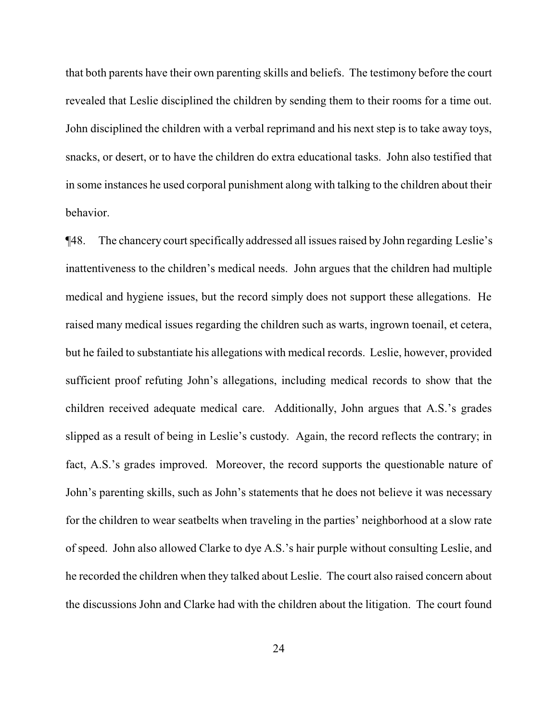that both parents have their own parenting skills and beliefs. The testimony before the court revealed that Leslie disciplined the children by sending them to their rooms for a time out. John disciplined the children with a verbal reprimand and his next step is to take away toys, snacks, or desert, or to have the children do extra educational tasks. John also testified that in some instances he used corporal punishment along with talking to the children about their behavior.

¶48. The chancery court specifically addressed all issues raised by John regarding Leslie's inattentiveness to the children's medical needs. John argues that the children had multiple medical and hygiene issues, but the record simply does not support these allegations. He raised many medical issues regarding the children such as warts, ingrown toenail, et cetera, but he failed to substantiate his allegations with medical records. Leslie, however, provided sufficient proof refuting John's allegations, including medical records to show that the children received adequate medical care. Additionally, John argues that A.S.'s grades slipped as a result of being in Leslie's custody. Again, the record reflects the contrary; in fact, A.S.'s grades improved. Moreover, the record supports the questionable nature of John's parenting skills, such as John's statements that he does not believe it was necessary for the children to wear seatbelts when traveling in the parties' neighborhood at a slow rate of speed. John also allowed Clarke to dye A.S.'s hair purple without consulting Leslie, and he recorded the children when they talked about Leslie. The court also raised concern about the discussions John and Clarke had with the children about the litigation. The court found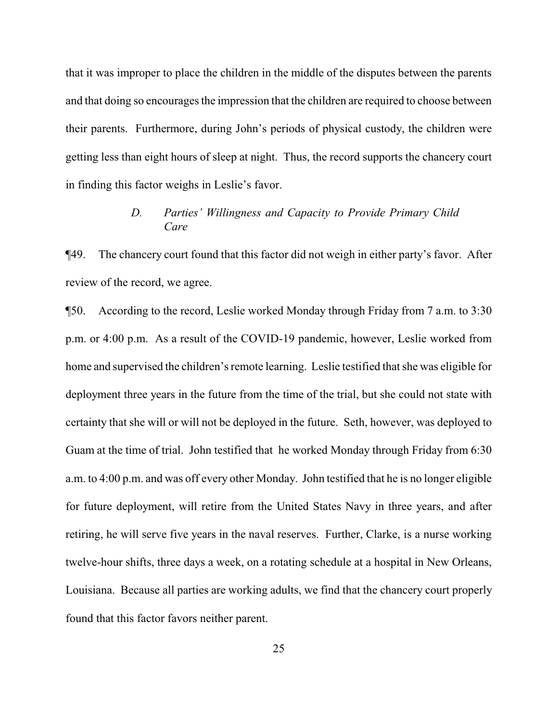that it was improper to place the children in the middle of the disputes between the parents and that doing so encourages the impression that the children are required to choose between their parents. Furthermore, during John's periods of physical custody, the children were getting less than eight hours of sleep at night. Thus, the record supports the chancery court in finding this factor weighs in Leslie's favor.

# *D. Parties' Willingness and Capacity to Provide Primary Child Care*

¶49. The chancery court found that this factor did not weigh in either party's favor. After review of the record, we agree.

¶50. According to the record, Leslie worked Monday through Friday from 7 a.m. to 3:30 p.m. or 4:00 p.m. As a result of the COVID-19 pandemic, however, Leslie worked from home and supervised the children's remote learning. Leslie testified that she was eligible for deployment three years in the future from the time of the trial, but she could not state with certainty that she will or will not be deployed in the future. Seth, however, was deployed to Guam at the time of trial. John testified that he worked Monday through Friday from 6:30 a.m. to 4:00 p.m. and was off every other Monday. John testified that he is no longer eligible for future deployment, will retire from the United States Navy in three years, and after retiring, he will serve five years in the naval reserves. Further, Clarke, is a nurse working twelve-hour shifts, three days a week, on a rotating schedule at a hospital in New Orleans, Louisiana. Because all parties are working adults, we find that the chancery court properly found that this factor favors neither parent.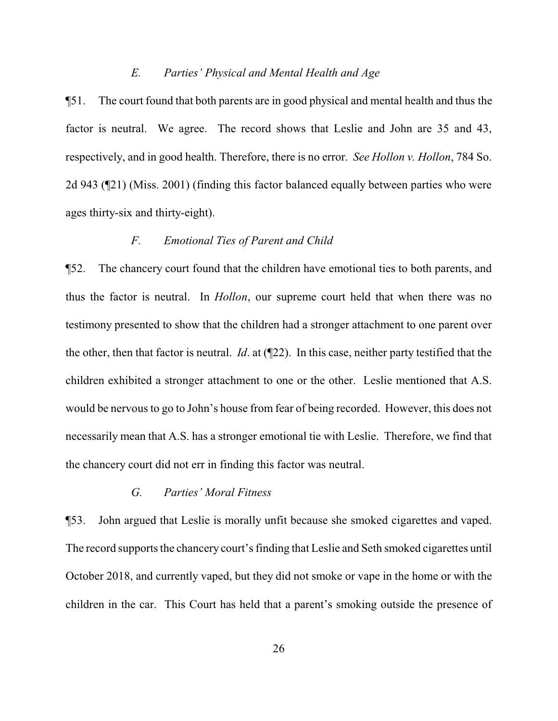#### *E. Parties' Physical and Mental Health and Age*

¶51. The court found that both parents are in good physical and mental health and thus the factor is neutral. We agree. The record shows that Leslie and John are 35 and 43, respectively, and in good health. Therefore, there is no error. *See Hollon v. Hollon*, 784 So. 2d 943 (¶21) (Miss. 2001) (finding this factor balanced equally between parties who were ages thirty-six and thirty-eight).

# *F. Emotional Ties of Parent and Child*

¶52. The chancery court found that the children have emotional ties to both parents, and thus the factor is neutral. In *Hollon*, our supreme court held that when there was no testimony presented to show that the children had a stronger attachment to one parent over the other, then that factor is neutral. *Id*. at (¶22). In this case, neither party testified that the children exhibited a stronger attachment to one or the other. Leslie mentioned that A.S. would be nervous to go to John's house from fear of being recorded. However, this does not necessarily mean that A.S. has a stronger emotional tie with Leslie. Therefore, we find that the chancery court did not err in finding this factor was neutral.

#### *G. Parties' Moral Fitness*

¶53. John argued that Leslie is morally unfit because she smoked cigarettes and vaped. The record supports the chancery court's finding that Leslie and Seth smoked cigarettes until October 2018, and currently vaped, but they did not smoke or vape in the home or with the children in the car. This Court has held that a parent's smoking outside the presence of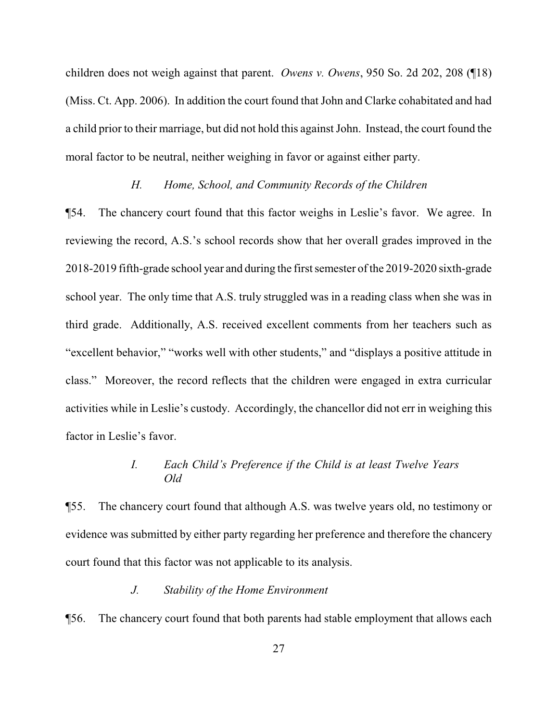children does not weigh against that parent. *Owens v. Owens*, 950 So. 2d 202, 208 (¶18) (Miss. Ct. App. 2006). In addition the court found that John and Clarke cohabitated and had a child prior to their marriage, but did not hold this against John. Instead, the court found the moral factor to be neutral, neither weighing in favor or against either party.

#### *H. Home, School, and Community Records of the Children*

¶54. The chancery court found that this factor weighs in Leslie's favor. We agree. In reviewing the record, A.S.'s school records show that her overall grades improved in the 2018-2019 fifth-grade school year and during the first semester ofthe 2019-2020 sixth-grade school year. The only time that A.S. truly struggled was in a reading class when she was in third grade. Additionally, A.S. received excellent comments from her teachers such as "excellent behavior," "works well with other students," and "displays a positive attitude in class." Moreover, the record reflects that the children were engaged in extra curricular activities while in Leslie's custody. Accordingly, the chancellor did not err in weighing this factor in Leslie's favor.

# *I. Each Child's Preference if the Child is at least Twelve Years Old*

¶55. The chancery court found that although A.S. was twelve years old, no testimony or evidence was submitted by either party regarding her preference and therefore the chancery court found that this factor was not applicable to its analysis.

#### *J. Stability of the Home Environment*

¶56. The chancery court found that both parents had stable employment that allows each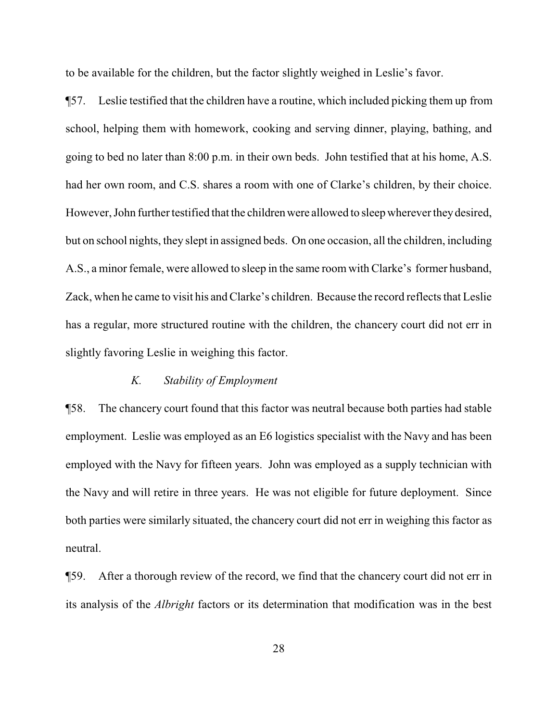to be available for the children, but the factor slightly weighed in Leslie's favor.

¶57. Leslie testified that the children have a routine, which included picking them up from school, helping them with homework, cooking and serving dinner, playing, bathing, and going to bed no later than 8:00 p.m. in their own beds. John testified that at his home, A.S. had her own room, and C.S. shares a room with one of Clarke's children, by their choice. However, John further testified that the children were allowed to sleep wherever they desired, but on school nights, they slept in assigned beds. On one occasion, all the children, including A.S., a minor female, were allowed to sleep in the same room with Clarke's former husband, Zack, when he came to visit his and Clarke's children. Because the record reflects that Leslie has a regular, more structured routine with the children, the chancery court did not err in slightly favoring Leslie in weighing this factor.

#### *K. Stability of Employment*

¶58. The chancery court found that this factor was neutral because both parties had stable employment. Leslie was employed as an E6 logistics specialist with the Navy and has been employed with the Navy for fifteen years. John was employed as a supply technician with the Navy and will retire in three years. He was not eligible for future deployment. Since both parties were similarly situated, the chancery court did not err in weighing this factor as neutral.

¶59. After a thorough review of the record, we find that the chancery court did not err in its analysis of the *Albright* factors or its determination that modification was in the best